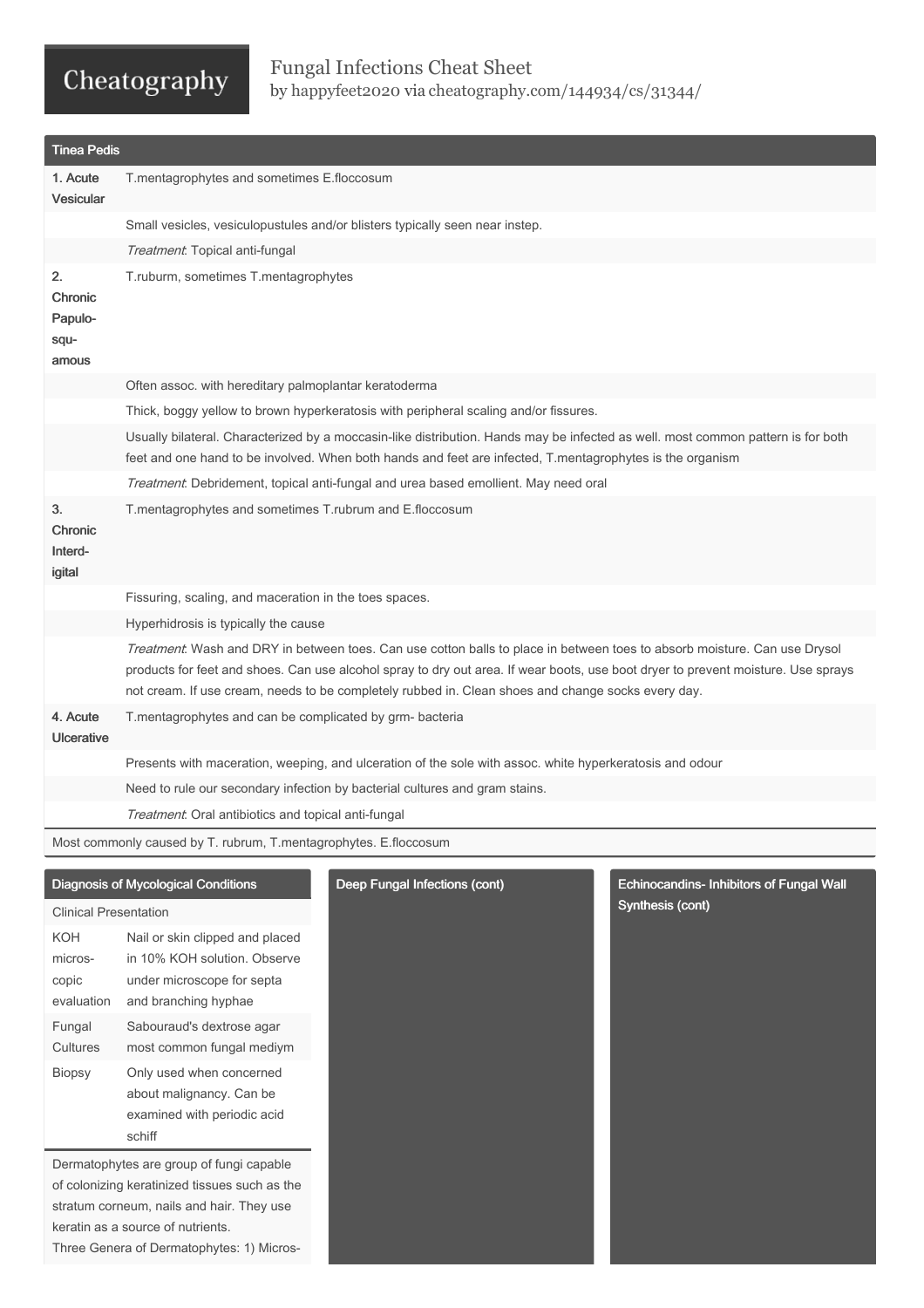### Fungal Infections Cheat Sheet by [happyfeet2020](http://www.cheatography.com/happyfeet2020/) via [cheatography.com/144934/cs/31344/](http://www.cheatography.com/happyfeet2020/cheat-sheets/fungal-infections)

| <b>Tinea Pedis</b>                                               |                                                                                                                                                                                                                                                                                                                                                                      |  |  |
|------------------------------------------------------------------|----------------------------------------------------------------------------------------------------------------------------------------------------------------------------------------------------------------------------------------------------------------------------------------------------------------------------------------------------------------------|--|--|
| 1. Acute<br><b>Vesicular</b>                                     | T.mentagrophytes and sometimes E.floccosum                                                                                                                                                                                                                                                                                                                           |  |  |
|                                                                  | Small vesicles, vesiculopustules and/or blisters typically seen near instep.                                                                                                                                                                                                                                                                                         |  |  |
|                                                                  | Treatment. Topical anti-fungal                                                                                                                                                                                                                                                                                                                                       |  |  |
| 2.<br>Chronic<br>Papulo-<br>squ-<br>amous                        | T.ruburm, sometimes T.mentagrophytes                                                                                                                                                                                                                                                                                                                                 |  |  |
|                                                                  | Often assoc. with hereditary palmoplantar keratoderma                                                                                                                                                                                                                                                                                                                |  |  |
|                                                                  | Thick, boggy yellow to brown hyperkeratosis with peripheral scaling and/or fissures.                                                                                                                                                                                                                                                                                 |  |  |
|                                                                  | Usually bilateral. Characterized by a moccasin-like distribution. Hands may be infected as well. most common pattern is for both<br>feet and one hand to be involved. When both hands and feet are infected, T.mentagrophytes is the organism                                                                                                                        |  |  |
|                                                                  | Treatment: Debridement, topical anti-fungal and urea based emollient. May need oral                                                                                                                                                                                                                                                                                  |  |  |
| 3.<br><b>Chronic</b><br>Interd-<br>igital                        | T.mentagrophytes and sometimes T.rubrum and E.floccosum                                                                                                                                                                                                                                                                                                              |  |  |
|                                                                  | Fissuring, scaling, and maceration in the toes spaces.                                                                                                                                                                                                                                                                                                               |  |  |
|                                                                  | Hyperhidrosis is typically the cause                                                                                                                                                                                                                                                                                                                                 |  |  |
|                                                                  | Treatment: Wash and DRY in between toes. Can use cotton balls to place in between toes to absorb moisture. Can use Drysol<br>products for feet and shoes. Can use alcohol spray to dry out area. If wear boots, use boot dryer to prevent moisture. Use sprays<br>not cream. If use cream, needs to be completely rubbed in. Clean shoes and change socks every day. |  |  |
| 4. Acute<br>Ulcerative                                           | T.mentagrophytes and can be complicated by grm- bacteria                                                                                                                                                                                                                                                                                                             |  |  |
|                                                                  | Presents with maceration, weeping, and ulceration of the sole with assoc. white hyperkeratosis and odour                                                                                                                                                                                                                                                             |  |  |
|                                                                  | Need to rule our secondary infection by bacterial cultures and gram stains.                                                                                                                                                                                                                                                                                          |  |  |
|                                                                  | Treatment. Oral antibiotics and topical anti-fungal                                                                                                                                                                                                                                                                                                                  |  |  |
| Most commonly caused by T. rubrum, T.mentagrophytes. E.floccosum |                                                                                                                                                                                                                                                                                                                                                                      |  |  |
| <b>Clinical Presentation</b>                                     | <b>Diagnosis of Mycological Conditions</b><br>Deep Fungal Infections (cont)<br><b>Echinocandins- Inhibitors of Fungal Wall</b><br>Synthesis (cont)                                                                                                                                                                                                                   |  |  |

KOH micros‐ copic evaluation Nail or skin clipped and placed in 10% KOH solution. Observe under microscope for septa and branching hyphae Fungal **Cultures** Sabouraud's dextrose agar most common fungal mediym Biopsy Only used when concerned about malignancy. Can be examined with periodic acid schiff

Dermatophytes are group of fungi capable of colonizing keratinized tissues such as the stratum corneum, nails and hair. They use keratin as a source of nutrients. Three Genera of Dermatophytes: 1) Micros‐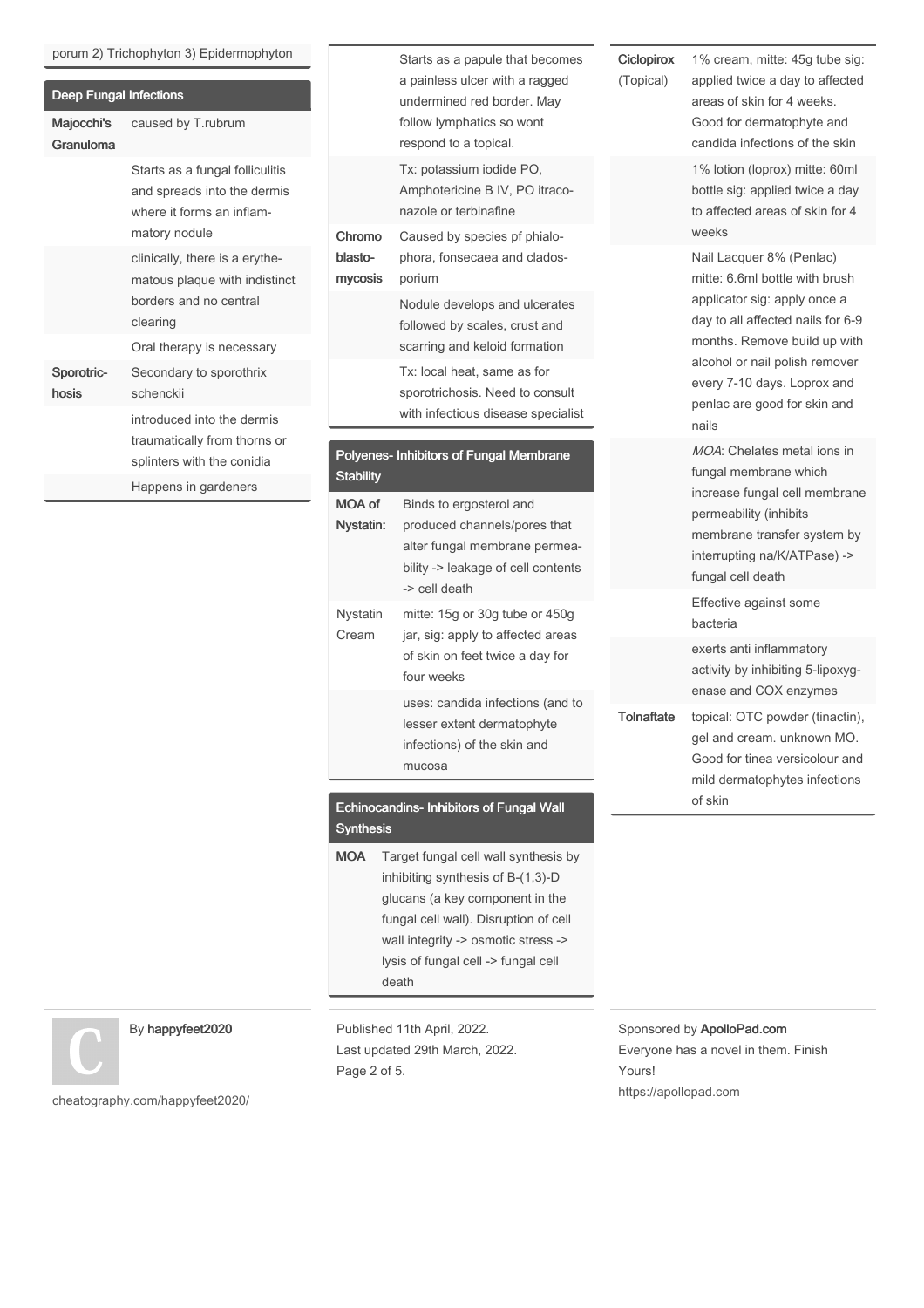#### porum 2) Trichophyton 3) Epidermophyton

| <b>Deep Fungal Infections</b> |                                                                                                              |  |
|-------------------------------|--------------------------------------------------------------------------------------------------------------|--|
| Majocchi's<br>Granuloma       | caused by T.rubrum                                                                                           |  |
|                               | Starts as a fungal folliculitis<br>and spreads into the dermis<br>where it forms an inflam-<br>matory nodule |  |
|                               | clinically, there is a erythe-<br>matous plaque with indistinct<br>borders and no central<br>clearing        |  |
|                               | Oral therapy is necessary                                                                                    |  |
| Sporotric-<br>hosis           | Secondary to sporothrix<br>schenckij                                                                         |  |
|                               | introduced into the dermis<br>traumatically from thorns or<br>splinters with the conidia                     |  |
|                               | Happens in gardeners                                                                                         |  |
|                               |                                                                                                              |  |

|                              | Starts as a papule that becomes<br>a painless ulcer with a ragged<br>undermined red border. May<br>follow lymphatics so wont<br>respond to a topical. |
|------------------------------|-------------------------------------------------------------------------------------------------------------------------------------------------------|
|                              | Tx: potassium iodide PO,<br>Amphotericine B IV, PO itraco-<br>nazole or terbinafine                                                                   |
| Chromo<br>blasto-<br>mycosis | Caused by species pf phialo-<br>phora, fonsecaea and clados-<br>porium                                                                                |
|                              | Nodule develops and ulcerates<br>followed by scales, crust and<br>scarring and keloid formation                                                       |
|                              | Tx: local heat, same as for<br>sporotrichosis. Need to consult<br>with infectious disease specialist                                                  |
| <b>Stability</b>             | Polyenes- Inhibitors of Fungal Membrane                                                                                                               |
| <b>MOA of</b>                | Binds to ergosterol and                                                                                                                               |
| Nystatin:                    | produced channels/pores that<br>alter fungal membrane permea-<br>bility -> leakage of cell contents<br>-> cell death                                  |
| Nystatin<br>Cream            | mitte: 15g or 30g tube or 450g<br>jar, sig: apply to affected areas<br>of skin on feet twice a day for<br>four weeks                                  |

#### Echinocandins- Inhibitors of Fungal Wall Synthesis

MOA Target fungal cell wall synthesis by inhibiting synthesis of B-(1,3)-D glucans (a key component in the fungal cell wall). Disruption of cell wall integrity -> osmotic stress -> lysis of fungal cell -> fungal cell death

### By happyfeet2020

Published 11th April, 2022. Last updated 29th March, 2022. Page 2 of 5.

Sponsored by ApolloPad.com Everyone has a novel in them. Finish Yours! <https://apollopad.com>

[cheatography.com/happyfeet2020/](http://www.cheatography.com/happyfeet2020/)

**Ciclopirox** (Topical)

applied twice a day to affected areas of skin for 4 weeks. Good for dermatophyte and candida infections of the skin 1% lotion (loprox) mitte: 60ml bottle sig: applied twice a day to affected areas of skin for 4 weeks Nail Lacquer 8% (Penlac) mitte: 6.6ml bottle with brush applicator sig: apply once a day to all affected nails for 6-9 months. Remove build up with alcohol or nail polish remover every 7-10 days. Loprox and penlac are good for skin and nails MOA: Chelates metal ions in fungal membrane which increase fungal cell membrane permeability (inhibits membrane transfer system by interrupting na/K/ATPase) -> fungal cell death Effective against some bacteria exerts anti inflammatory activity by inhibiting 5-lipoxyg‐ enase and COX enzymes Tolnaftate topical: OTC powder (tinactin), gel and cream. unknown MO. Good for tinea versicolour and mild dermatophytes infections of skin

1% cream, mitte: 45g tube sig: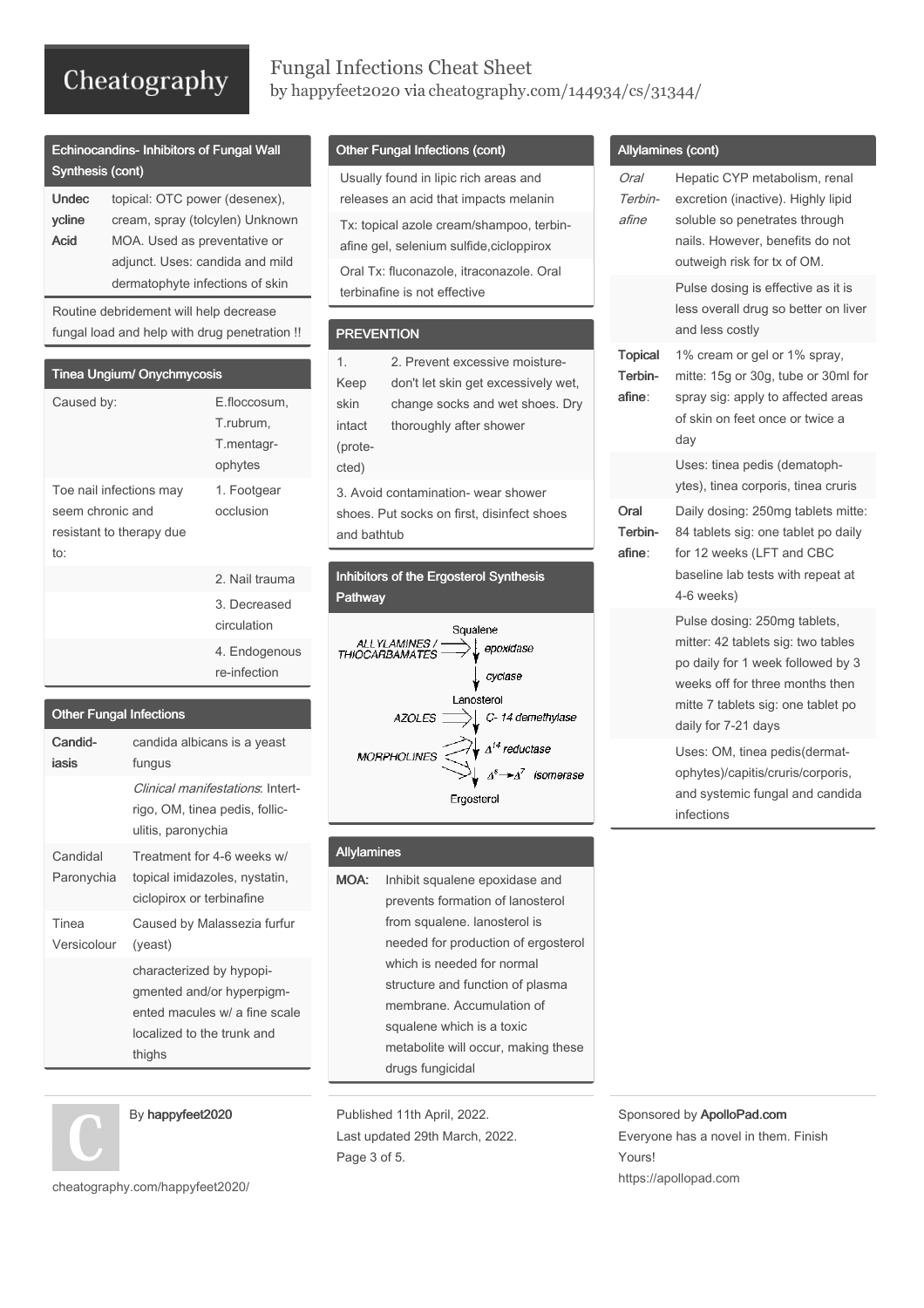### Fungal Infections Cheat Sheet by [happyfeet2020](http://www.cheatography.com/happyfeet2020/) via [cheatography.com/144934/cs/31344/](http://www.cheatography.com/happyfeet2020/cheat-sheets/fungal-infections)

| <b>Echinocandins-Inhibitors of Fungal Wall</b> |  |
|------------------------------------------------|--|
| Synthesis (cont)                               |  |

| <b>Undec</b> | topical: OTC power (desenex),   |  |  |
|--------------|---------------------------------|--|--|
| ycline       | cream, spray (tolcylen) Unknown |  |  |
| Acid         | MOA. Used as preventative or    |  |  |
|              | adjunct. Uses: candida and mild |  |  |
|              | dermatophyte infections of skin |  |  |

Routine debridement will help decrease fungal load and help with drug penetration !!

| <b>Tinea Ungium/ Onychmycosis</b>                                              |                                                    |
|--------------------------------------------------------------------------------|----------------------------------------------------|
| Caused by:                                                                     | E.floccosum,<br>T.rubrum.<br>T.mentagr-<br>ophytes |
| Toe nail infections may<br>seem chronic and<br>resistant to therapy due<br>to: | 1. Footgear<br>occlusion                           |
|                                                                                | 2. Nail trauma                                     |
|                                                                                | 3. Decreased<br>circulation                        |
|                                                                                | 4. Endogenous<br>re-infection                      |

| <b>Other Fungal Infections</b> |                                                                                                                                |  |  |
|--------------------------------|--------------------------------------------------------------------------------------------------------------------------------|--|--|
| Candid-                        | candida albicans is a yeast                                                                                                    |  |  |
| iasis                          | fungus                                                                                                                         |  |  |
|                                | Clinical manifestations: Intert-<br>rigo, OM, tinea pedis, follic-<br>ulitis, paronychia                                       |  |  |
| Candidal<br>Paronychia         | Treatment for 4-6 weeks w/<br>topical imidazoles, nystatin,<br>ciclopirox or terbinafine                                       |  |  |
| Tinea<br>Versicolour           | Caused by Malassezia furfur<br>(yeast)                                                                                         |  |  |
|                                | characterized by hypopi-<br>gmented and/or hyperpigm-<br>ented macules w/ a fine scale<br>localized to the trunk and<br>thighs |  |  |



[cheatography.com/happyfeet2020/](http://www.cheatography.com/happyfeet2020/)

### Other Fungal Infections (cont)

Usually found in lipic rich areas and releases an acid that impacts melanin Tx: topical azole cream/shampoo, terbin‐ afine gel, selenium sulfide,cicloppirox Oral Tx: fluconazole, itraconazole. Oral terbinafine is not effective

#### **PREVENTION**

| 1.                                  | 2. Prevent excessive moisture-      |  |
|-------------------------------------|-------------------------------------|--|
| Keep                                | don't let skin get excessively wet, |  |
| skin                                | change socks and wet shoes. Dry     |  |
| intact                              | thoroughly after shower             |  |
| (prote-                             |                                     |  |
| cted)                               |                                     |  |
| 3. Avoid contamination- wear shower |                                     |  |

shoes. Put socks on first, disinfect shoes and bathtub

Inhibitors of the Ergosterol Synthesis Pathway



#### Allylamines

MOA: Inhibit squalene epoxidase and prevents formation of lanosterol from squalene. lanosterol is needed for production of ergosterol which is needed for normal structure and function of plasma membrane. Accumulation of squalene which is a toxic metabolite will occur, making these drugs fungicidal

Published 11th April, 2022. Last updated 29th March, 2022. Page 3 of 5.

Sponsored by ApolloPad.com Everyone has a novel in them. Finish Yours! <https://apollopad.com>

#### Allylamines (cont)

| Oral<br>Terbin-<br>afine            | Hepatic CYP metabolism, renal<br>excretion (inactive). Highly lipid<br>soluble so penetrates through<br>nails. However, benefits do not<br>outweigh risk for tx of OM.                                  |
|-------------------------------------|---------------------------------------------------------------------------------------------------------------------------------------------------------------------------------------------------------|
|                                     | Pulse dosing is effective as it is<br>less overall drug so better on liver<br>and less costly                                                                                                           |
| <b>Topical</b><br>Terbin-<br>afine: | 1% cream or gel or 1% spray,<br>mitte: 15g or 30g, tube or 30ml for<br>spray sig: apply to affected areas<br>of skin on feet once or twice a<br>day                                                     |
|                                     | Uses: tinea pedis (dematoph-<br>ytes), tinea corporis, tinea cruris                                                                                                                                     |
| Oral<br>Terbin-<br>afine:           | Daily dosing: 250mg tablets mitte:<br>84 tablets sig: one tablet po daily<br>for 12 weeks (LFT and CBC<br>baseline lab tests with repeat at<br>4-6 weeks)                                               |
|                                     | Pulse dosing: 250mg tablets,<br>mitter: 42 tablets sig: two tables<br>po daily for 1 week followed by 3<br>weeks off for three months then<br>mitte 7 tablets sig: one tablet po<br>daily for 7-21 days |
|                                     | Uses: OM, tinea pedis(dermat-<br>ophytes)/capitis/cruris/corporis,<br>and systemic fungal and candida<br>infections                                                                                     |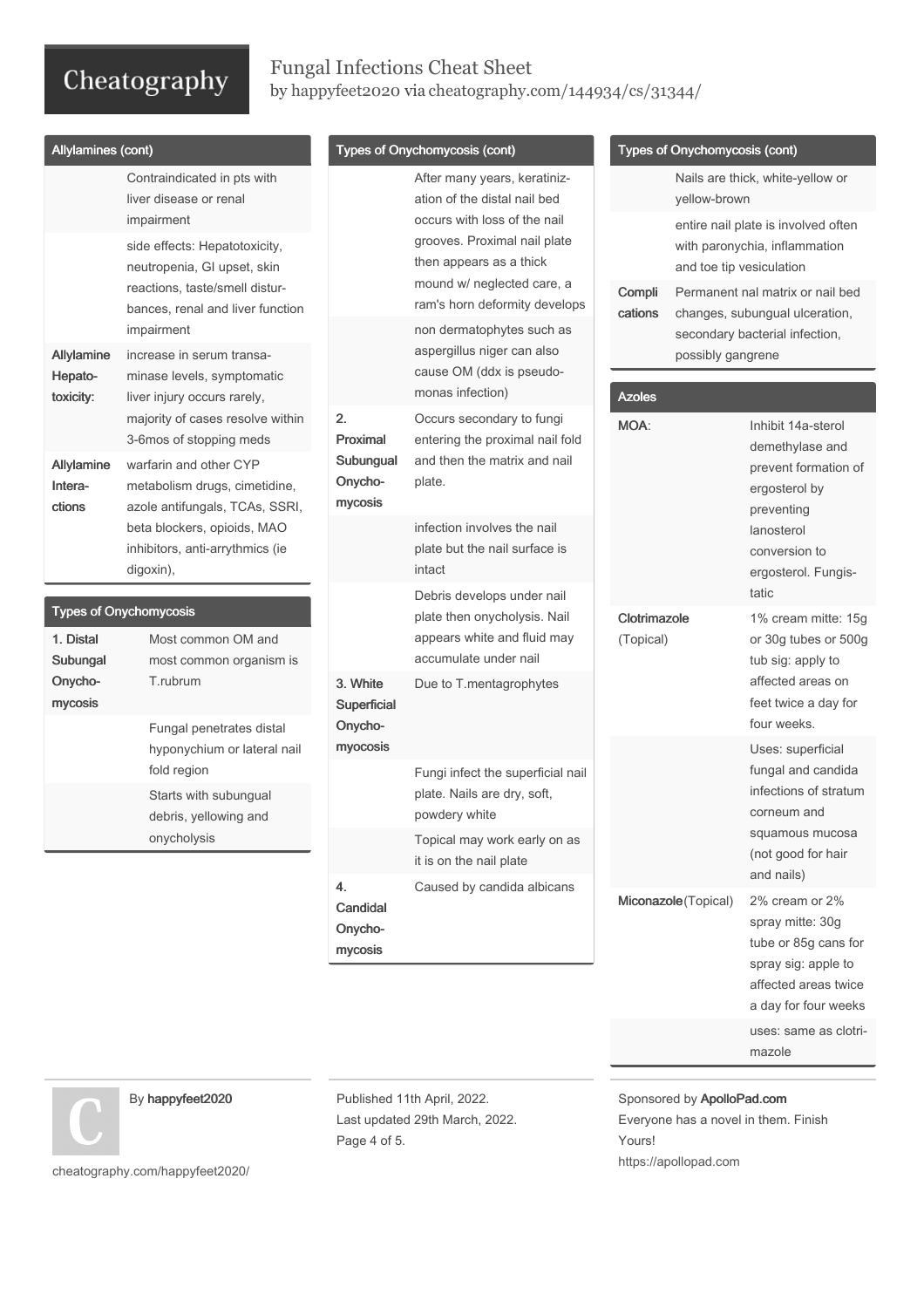## Fungal Infections Cheat Sheet by [happyfeet2020](http://www.cheatography.com/happyfeet2020/) via [cheatography.com/144934/cs/31344/](http://www.cheatography.com/happyfeet2020/cheat-sheets/fungal-infections)

| Allylamines (cont)                                                                                                                                                                                                                      |                                                   |                                                                                                                                                                                                                        |                                                                                                                                |                                                                                                                                                             |                                                                                                                                                                                       |
|-----------------------------------------------------------------------------------------------------------------------------------------------------------------------------------------------------------------------------------------|---------------------------------------------------|------------------------------------------------------------------------------------------------------------------------------------------------------------------------------------------------------------------------|--------------------------------------------------------------------------------------------------------------------------------|-------------------------------------------------------------------------------------------------------------------------------------------------------------|---------------------------------------------------------------------------------------------------------------------------------------------------------------------------------------|
| Contraindicated in pts with<br>liver disease or renal<br>impairment<br>side effects: Hepatotoxicity,<br>neutropenia, GI upset, skin<br>reactions, taste/smell distur-<br>bances, renal and liver function                               |                                                   | After many years, keratiniz-<br>ation of the distal nail bed<br>occurs with loss of the nail<br>grooves. Proximal nail plate<br>then appears as a thick<br>mound w/ neglected care, a<br>ram's horn deformity develops | Compli                                                                                                                         |                                                                                                                                                             | Nails are thick, white-yellow or<br>entire nail plate is involved often<br>with paronychia, inflammation<br>Permanent nal matrix or nail bed                                          |
| impairment<br>increase in serum transa-<br>minase levels, symptomatic                                                                                                                                                                   |                                                   | non dermatophytes such as<br>aspergillus niger can also<br>cause OM (ddx is pseudo-<br>monas infection)                                                                                                                |                                                                                                                                |                                                                                                                                                             | secondary bacterial infection,                                                                                                                                                        |
| majority of cases resolve within<br>3-6mos of stopping meds<br>warfarin and other CYP<br>metabolism drugs, cimetidine,<br>azole antifungals, TCAs, SSRI,<br>beta blockers, opioids, MAO<br>inhibitors, anti-arrythmics (ie<br>digoxin), | 2.<br>Proximal<br>Subungual<br>Onycho-<br>mycosis | Occurs secondary to fungi<br>entering the proximal nail fold<br>and then the matrix and nail<br>plate.                                                                                                                 | <b>MOA:</b>                                                                                                                    | Inhibit 14a-sterol<br>demethylase and<br>prevent formation of<br>ergosterol by<br>preventing<br>lanosterol<br>conversion to<br>ergosterol. Fungis-<br>tatic |                                                                                                                                                                                       |
|                                                                                                                                                                                                                                         |                                                   | infection involves the nail<br>plate but the nail surface is<br>intact                                                                                                                                                 |                                                                                                                                |                                                                                                                                                             |                                                                                                                                                                                       |
| <b>Types of Onychomycosis</b><br>Most common OM and<br>most common organism is<br>T.rubrum                                                                                                                                              | 3. White                                          | plate then onycholysis. Nail<br>appears white and fluid may<br>accumulate under nail<br>Due to T.mentagrophytes                                                                                                        |                                                                                                                                |                                                                                                                                                             | 1% cream mitte: 15g<br>or 30g tubes or 500g<br>tub sig: apply to<br>affected areas on                                                                                                 |
| Fungal penetrates distal<br>hyponychium or lateral nail<br>fold region<br>Starts with subungual<br>debris, yellowing and                                                                                                                | Onycho-<br>myocosis                               |                                                                                                                                                                                                                        |                                                                                                                                |                                                                                                                                                             | feet twice a day for<br>four weeks.<br>Uses: superficial                                                                                                                              |
|                                                                                                                                                                                                                                         |                                                   | plate. Nails are dry, soft,<br>powdery white                                                                                                                                                                           |                                                                                                                                | fungal and candida<br>infections of stratum<br>corneum and                                                                                                  |                                                                                                                                                                                       |
|                                                                                                                                                                                                                                         |                                                   | Topical may work early on as<br>it is on the nail plate                                                                                                                                                                |                                                                                                                                |                                                                                                                                                             | squamous mucosa<br>(not good for hair<br>and nails)                                                                                                                                   |
|                                                                                                                                                                                                                                         | Candidal<br>Onycho-<br>mycosis                    |                                                                                                                                                                                                                        |                                                                                                                                |                                                                                                                                                             | 2% cream or 2%<br>spray mitte: 30g<br>tube or 85g cans for<br>spray sig: apple to                                                                                                     |
|                                                                                                                                                                                                                                         | liver injury occurs rarely,<br>onycholysis        | Superficial<br>4.                                                                                                                                                                                                      | Types of Onychomycosis (cont)<br>Debris develops under nail<br>Fungi infect the superficial nail<br>Caused by candida albicans | cations<br>Azoles                                                                                                                                           | Types of Onychomycosis (cont)<br>yellow-brown<br>and toe tip vesiculation<br>changes, subungual ulceration,<br>possibly gangrene<br>Clotrimazole<br>(Topical)<br>Miconazole (Topical) |

uses: same as clotri‐ mazole

a day for four weeks

By happyfeet2020

[cheatography.com/happyfeet2020/](http://www.cheatography.com/happyfeet2020/)

Published 11th April, 2022. Last updated 29th March, 2022. Page 4 of 5.

Sponsored by ApolloPad.com Everyone has a novel in them. Finish Yours! <https://apollopad.com>